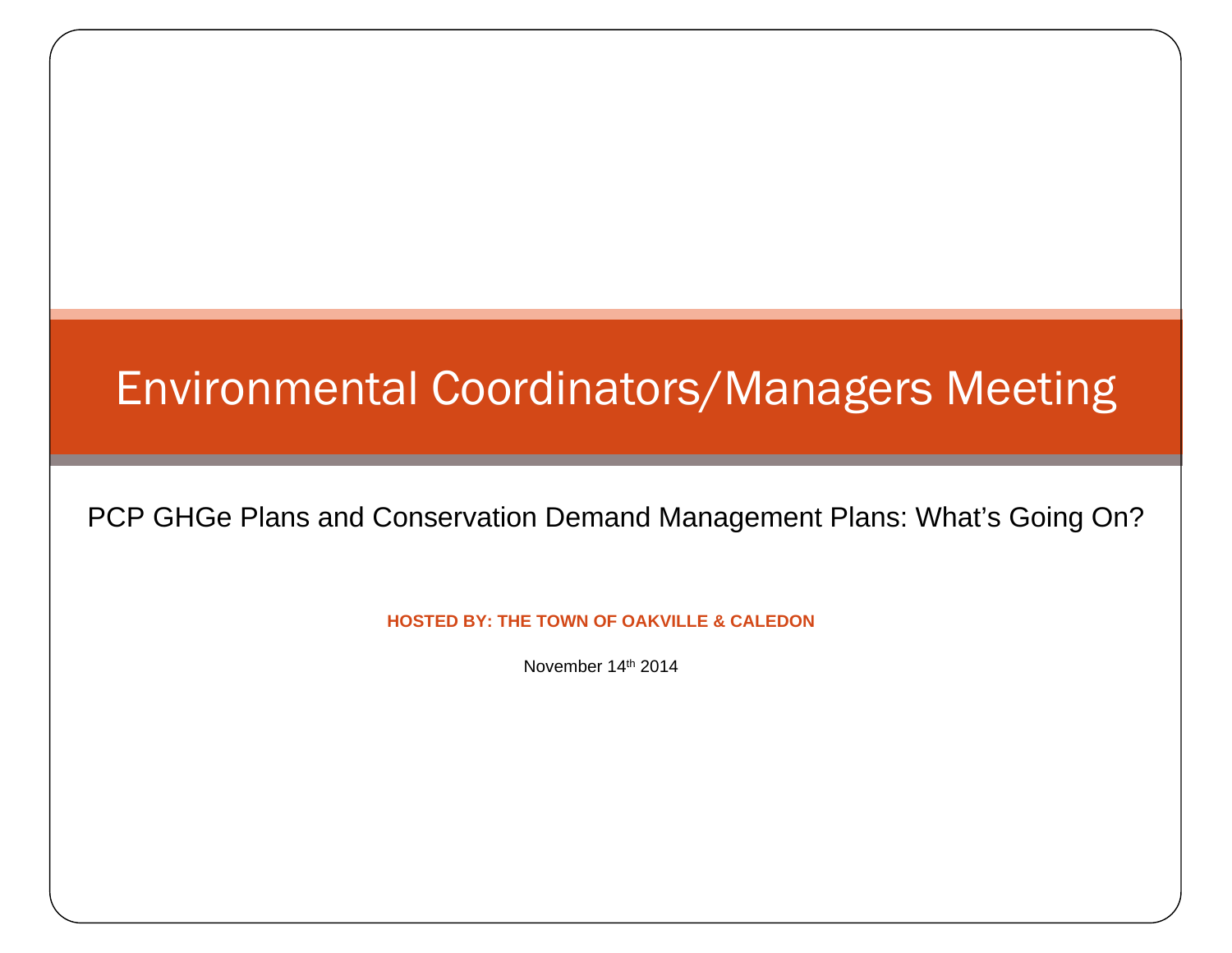# Environmental Coordinators/Managers Meeting

PCP GHGe Plans and Conservation Demand Management Plans: What's Going On?

**HOSTED BY: THE TOWN OF OAKVILLE & CALEDON**

November 14th 2014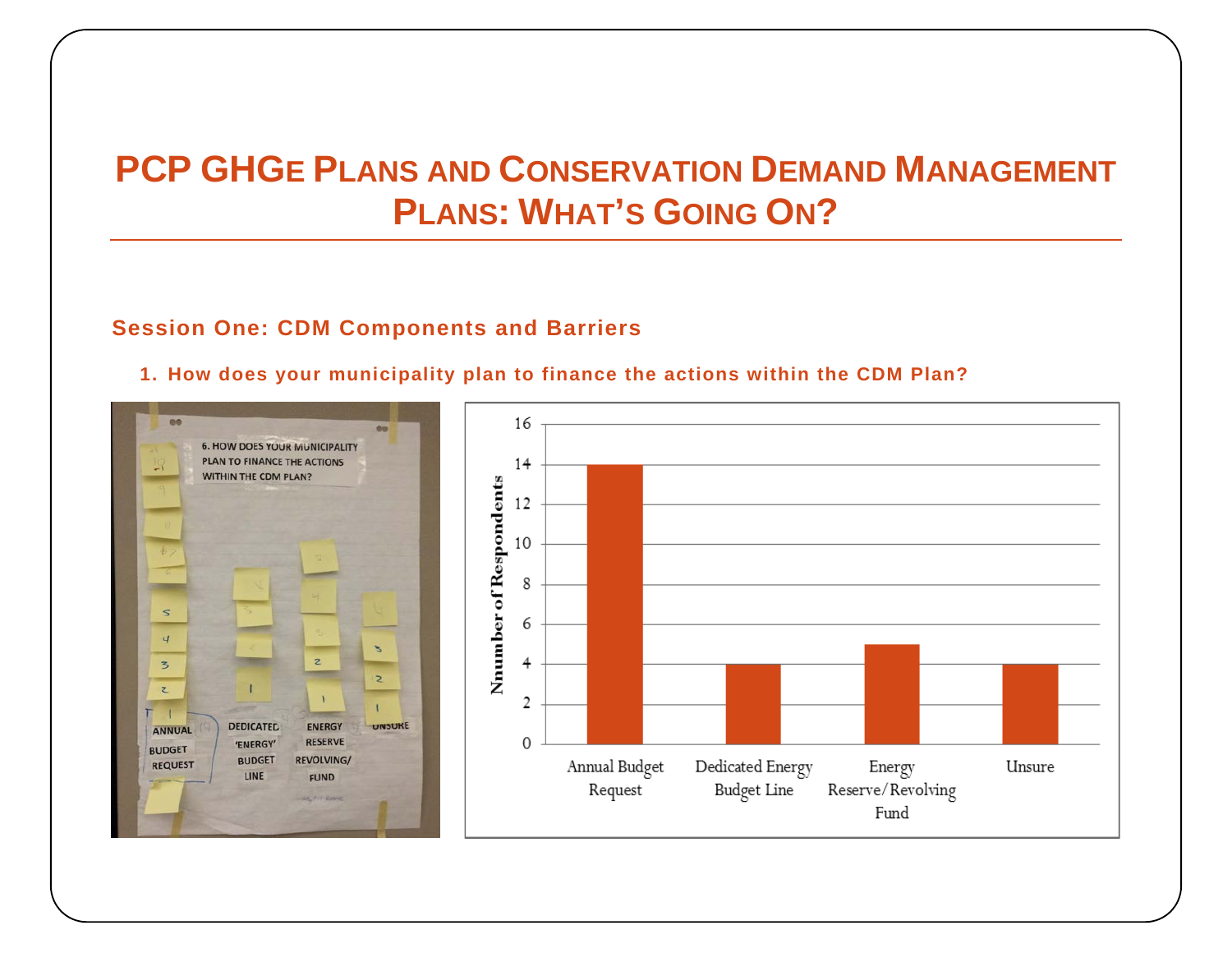## **PCP GHGE PLANS AND CONSERVATION DEMAND MANAGEMENT PLANS: WHAT'S GOING ON?**

Unsure

#### **Session One: CDM Components and Barriers**

**1. How does your municipality plan to finance the actions within the CDM Plan?**

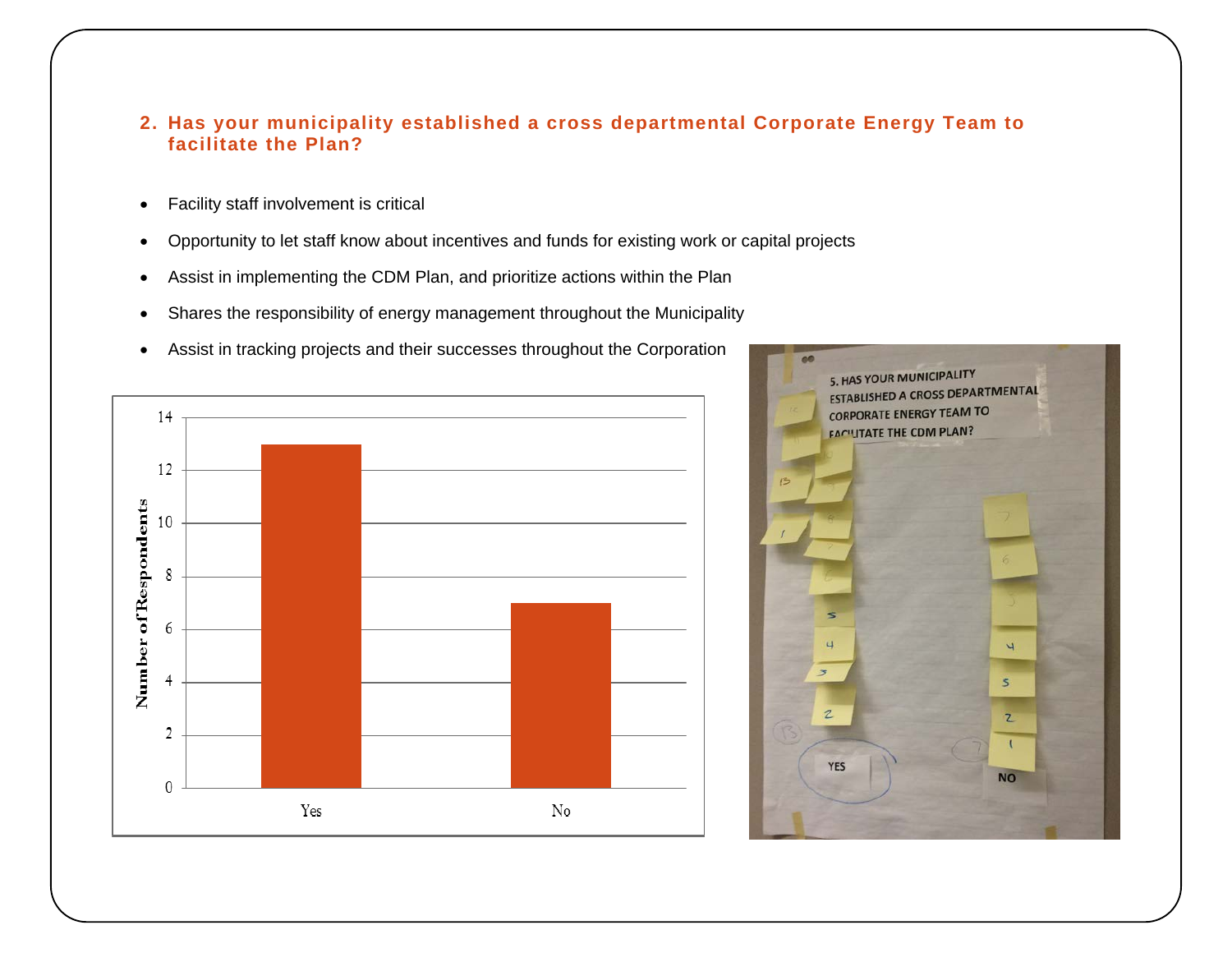#### **2. Has your municipality established a cross departmental Corporate Energy Team to facilitate the Plan?**

- Facility staff involvement is critical
- Opportunity to let staff know about incentives and funds for existing work or capital projects
- Assist in implementing the CDM Plan, and prioritize actions within the Plan
- Shares the responsibility of energy management throughout the Municipality
- Assist in tracking projects and their successes throughout the Corporation



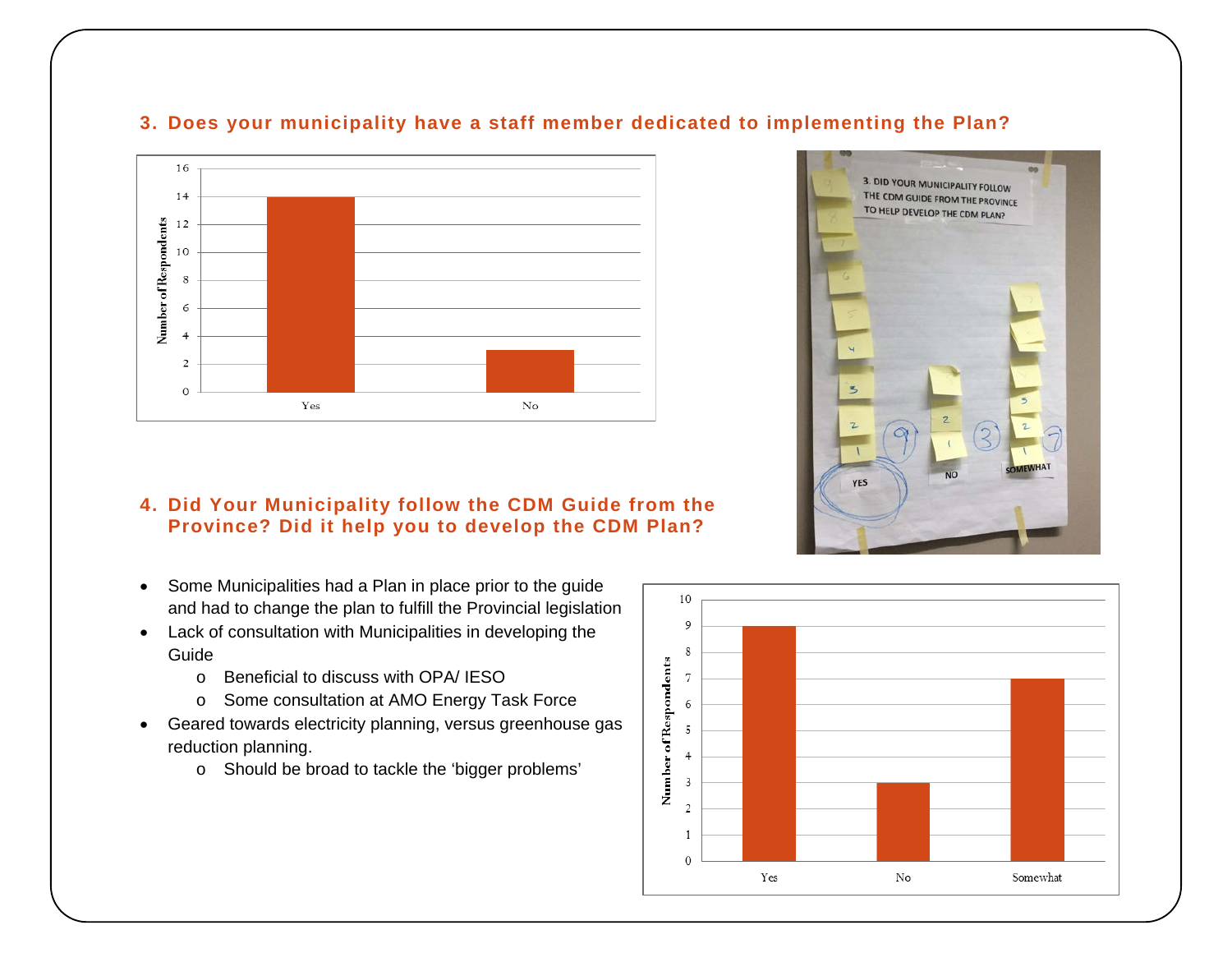

#### **3. Does your municipality have a staff member dedicated to implementing the Plan?**

#### **4. Did Your Municipality follow the CDM Guide from the Province? Did it help you to develop the CDM Plan?**

- Some Municipalities had a Plan in place prior to the guide and had to change the plan to fulfill the Provincial legislation
- Lack of consultation with Municipalities in developing the Guide
	- o Beneficial to discuss with OPA/ IESO
	- o Some consultation at AMO Energy Task Force
- Geared towards electricity planning, versus greenhouse gas reduction planning.
	- o Should be broad to tackle the 'bigger problems'



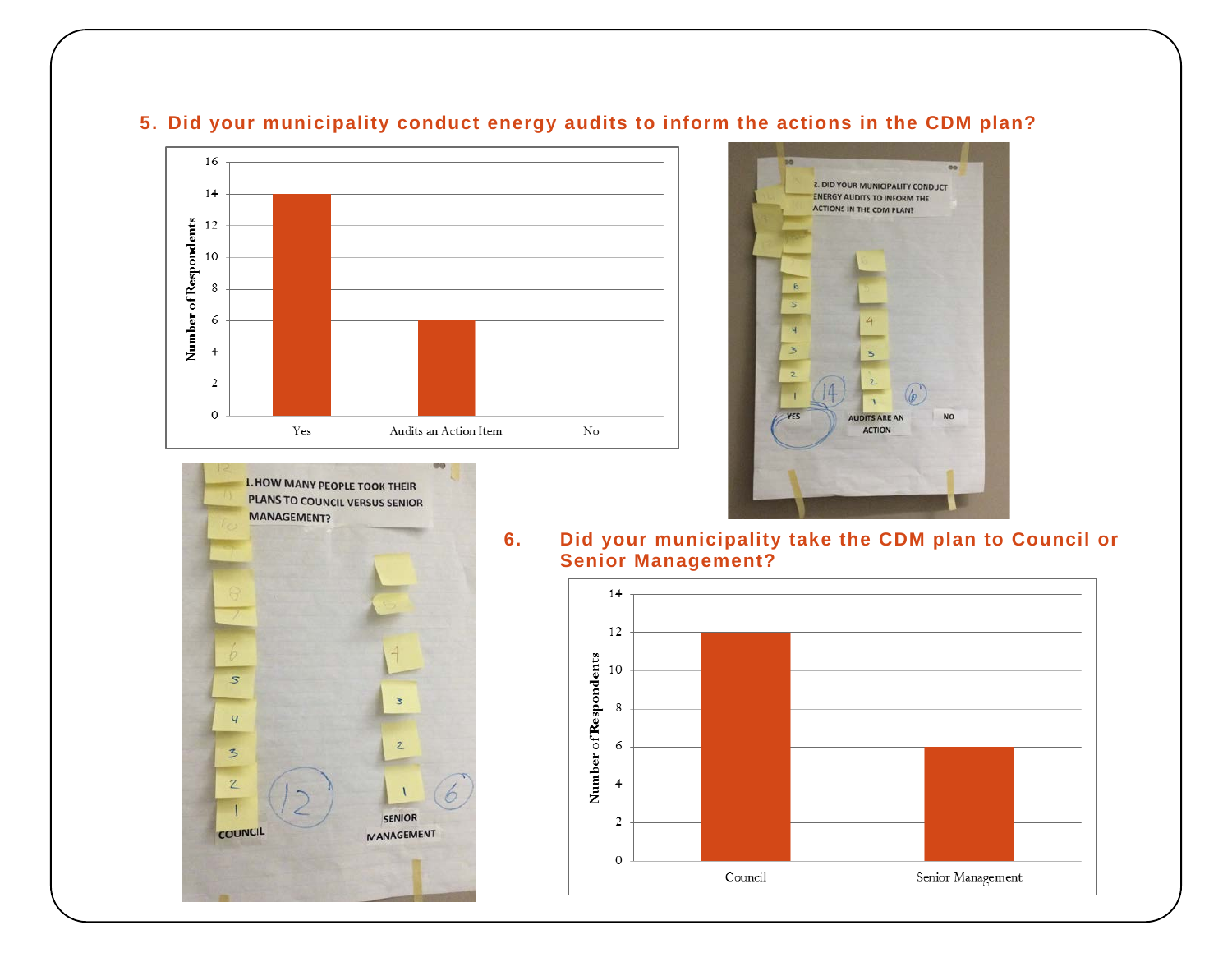







**6. Did your municipality take the CDM plan to Council or Senior Management?**

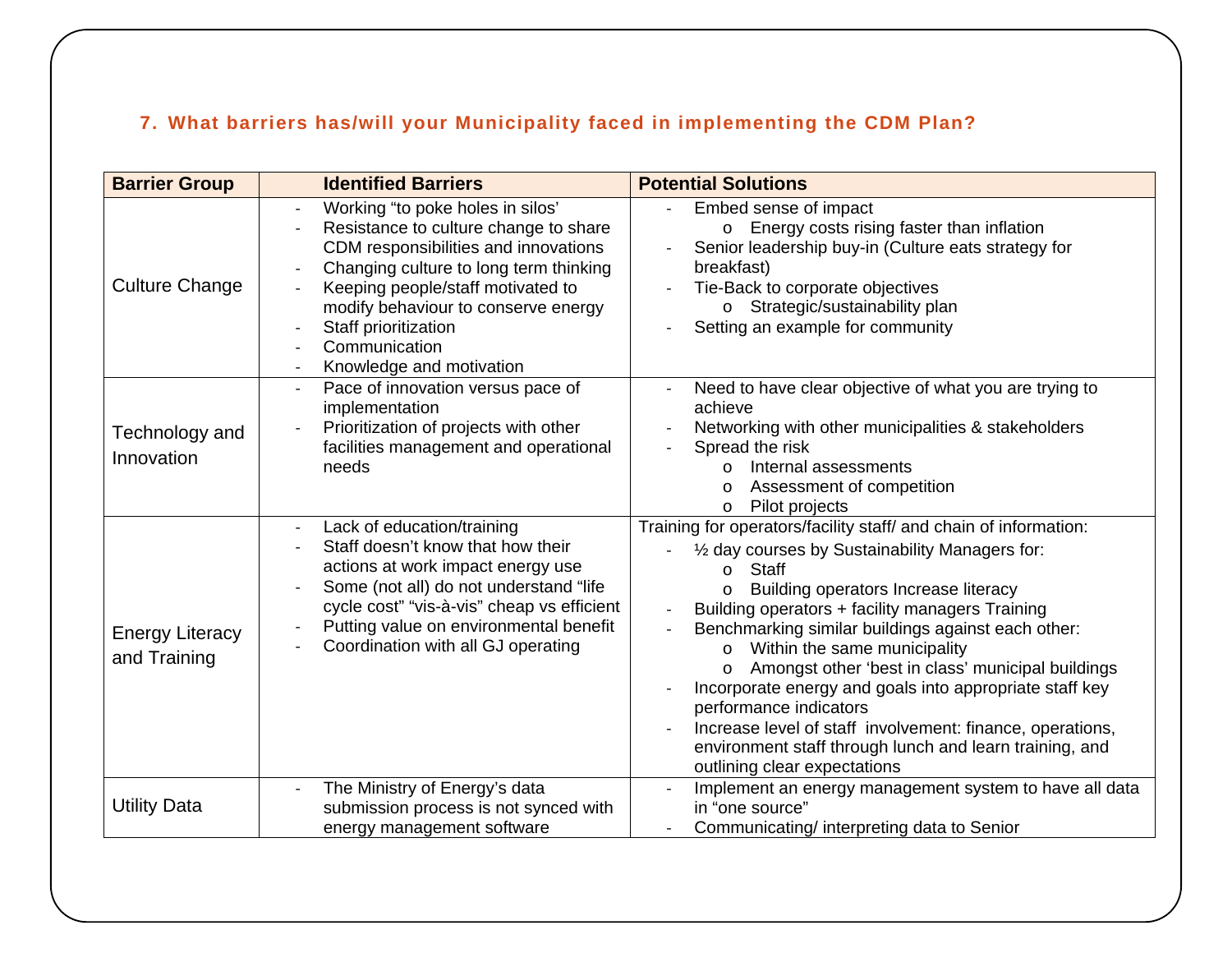### **7. What barriers has/will your Municipality faced in implementing the CDM Plan?**

| <b>Barrier Group</b>                   | <b>Identified Barriers</b>                                                                                                                                                                                                                                                                                   | <b>Potential Solutions</b>                                                                                                                                                                                                                                                                                                                                                                                                                                                                                                                                                                                                                        |
|----------------------------------------|--------------------------------------------------------------------------------------------------------------------------------------------------------------------------------------------------------------------------------------------------------------------------------------------------------------|---------------------------------------------------------------------------------------------------------------------------------------------------------------------------------------------------------------------------------------------------------------------------------------------------------------------------------------------------------------------------------------------------------------------------------------------------------------------------------------------------------------------------------------------------------------------------------------------------------------------------------------------------|
| <b>Culture Change</b>                  | Working "to poke holes in silos"<br>Resistance to culture change to share<br>CDM responsibilities and innovations<br>Changing culture to long term thinking<br>Keeping people/staff motivated to<br>modify behaviour to conserve energy<br>Staff prioritization<br>Communication<br>Knowledge and motivation | Embed sense of impact<br>o Energy costs rising faster than inflation<br>Senior leadership buy-in (Culture eats strategy for<br>breakfast)<br>Tie-Back to corporate objectives<br>o Strategic/sustainability plan<br>Setting an example for community                                                                                                                                                                                                                                                                                                                                                                                              |
| Technology and<br>Innovation           | Pace of innovation versus pace of<br>implementation<br>Prioritization of projects with other<br>facilities management and operational<br>needs                                                                                                                                                               | Need to have clear objective of what you are trying to<br>achieve<br>Networking with other municipalities & stakeholders<br>Spread the risk<br>Internal assessments<br>$\circ$<br>Assessment of competition<br>$\circ$<br>Pilot projects<br>$\circ$                                                                                                                                                                                                                                                                                                                                                                                               |
| <b>Energy Literacy</b><br>and Training | Lack of education/training<br>Staff doesn't know that how their<br>actions at work impact energy use<br>Some (not all) do not understand "life<br>cycle cost" "vis-à-vis" cheap vs efficient<br>Putting value on environmental benefit<br>Coordination with all GJ operating                                 | Training for operators/facility staff/ and chain of information:<br>1/2 day courses by Sustainability Managers for:<br>Staff<br>$\Omega$<br>Building operators Increase literacy<br>Building operators + facility managers Training<br>Benchmarking similar buildings against each other:<br>Within the same municipality<br>$\circ$<br>Amongst other 'best in class' municipal buildings<br>$\circ$<br>Incorporate energy and goals into appropriate staff key<br>performance indicators<br>Increase level of staff involvement: finance, operations,<br>environment staff through lunch and learn training, and<br>outlining clear expectations |
| <b>Utility Data</b>                    | The Ministry of Energy's data<br>submission process is not synced with<br>energy management software                                                                                                                                                                                                         | Implement an energy management system to have all data<br>in "one source"<br>Communicating/ interpreting data to Senior                                                                                                                                                                                                                                                                                                                                                                                                                                                                                                                           |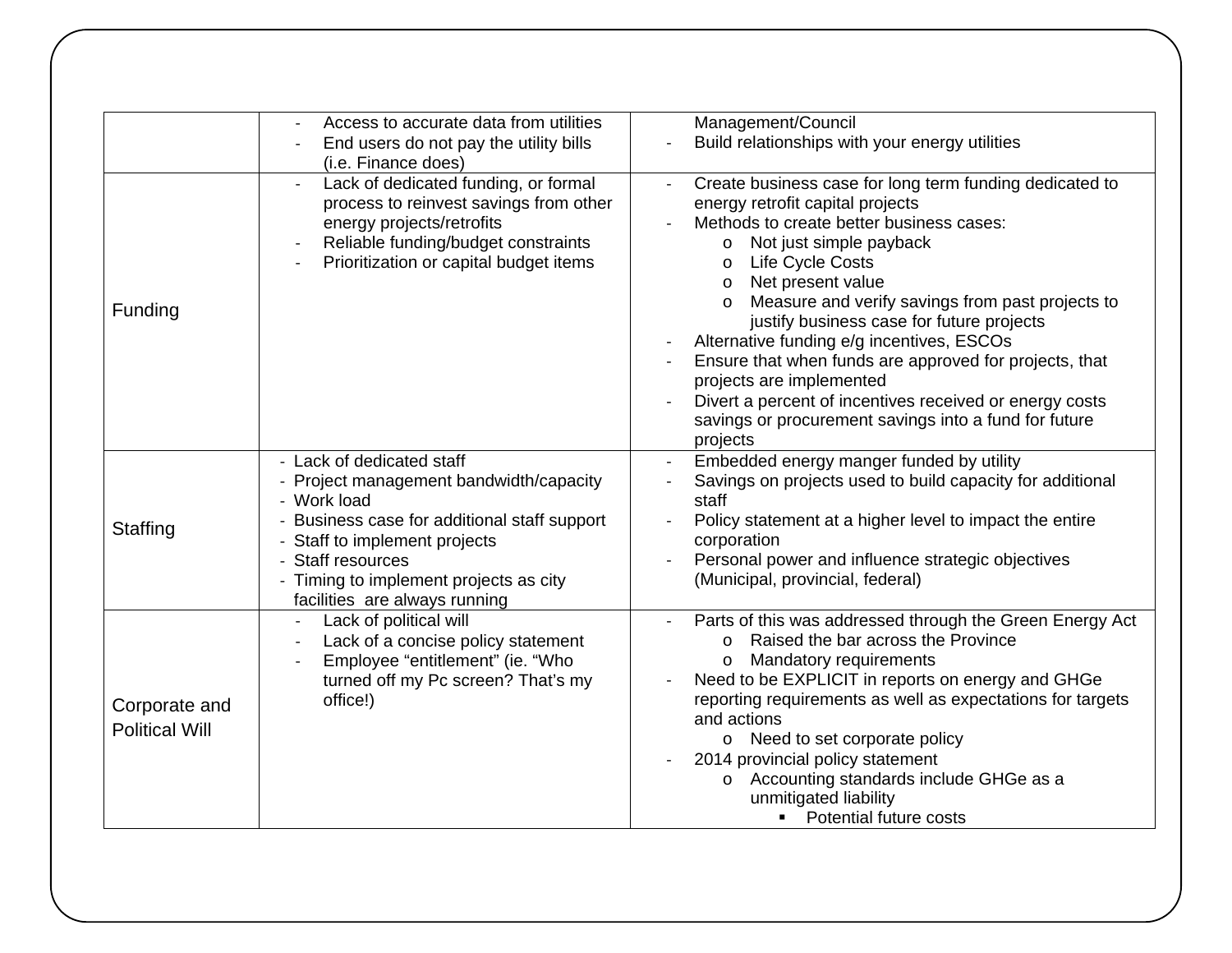|                                        | Access to accurate data from utilities<br>End users do not pay the utility bills<br>(i.e. Finance does)                                                                                                                                                              | Management/Council<br>Build relationships with your energy utilities                                                                                                                                                                                                                                                                                                                                                                                                                                                                                                                                                         |
|----------------------------------------|----------------------------------------------------------------------------------------------------------------------------------------------------------------------------------------------------------------------------------------------------------------------|------------------------------------------------------------------------------------------------------------------------------------------------------------------------------------------------------------------------------------------------------------------------------------------------------------------------------------------------------------------------------------------------------------------------------------------------------------------------------------------------------------------------------------------------------------------------------------------------------------------------------|
| Funding                                | Lack of dedicated funding, or formal<br>process to reinvest savings from other<br>energy projects/retrofits<br>Reliable funding/budget constraints<br>Prioritization or capital budget items                                                                         | Create business case for long term funding dedicated to<br>energy retrofit capital projects<br>Methods to create better business cases:<br>Not just simple payback<br>$\Omega$<br>Life Cycle Costs<br>$\circ$<br>Net present value<br>$\circ$<br>Measure and verify savings from past projects to<br>$\circ$<br>justify business case for future projects<br>Alternative funding e/g incentives, ESCOs<br>Ensure that when funds are approved for projects, that<br>projects are implemented<br>Divert a percent of incentives received or energy costs<br>savings or procurement savings into a fund for future<br>projects |
| Staffing                               | - Lack of dedicated staff<br>- Project management bandwidth/capacity<br>- Work load<br>- Business case for additional staff support<br>- Staff to implement projects<br>- Staff resources<br>- Timing to implement projects as city<br>facilities are always running | Embedded energy manger funded by utility<br>Savings on projects used to build capacity for additional<br>staff<br>Policy statement at a higher level to impact the entire<br>corporation<br>Personal power and influence strategic objectives<br>(Municipal, provincial, federal)                                                                                                                                                                                                                                                                                                                                            |
| Corporate and<br><b>Political Will</b> | Lack of political will<br>Lack of a concise policy statement<br>Employee "entitlement" (ie. "Who<br>turned off my Pc screen? That's my<br>office!)                                                                                                                   | Parts of this was addressed through the Green Energy Act<br>Raised the bar across the Province<br>$\Omega$<br>Mandatory requirements<br>$\circ$<br>Need to be EXPLICIT in reports on energy and GHGe<br>reporting requirements as well as expectations for targets<br>and actions<br>o Need to set corporate policy<br>2014 provincial policy statement<br>o Accounting standards include GHGe as a<br>unmitigated liability<br><b>Potential future costs</b>                                                                                                                                                                |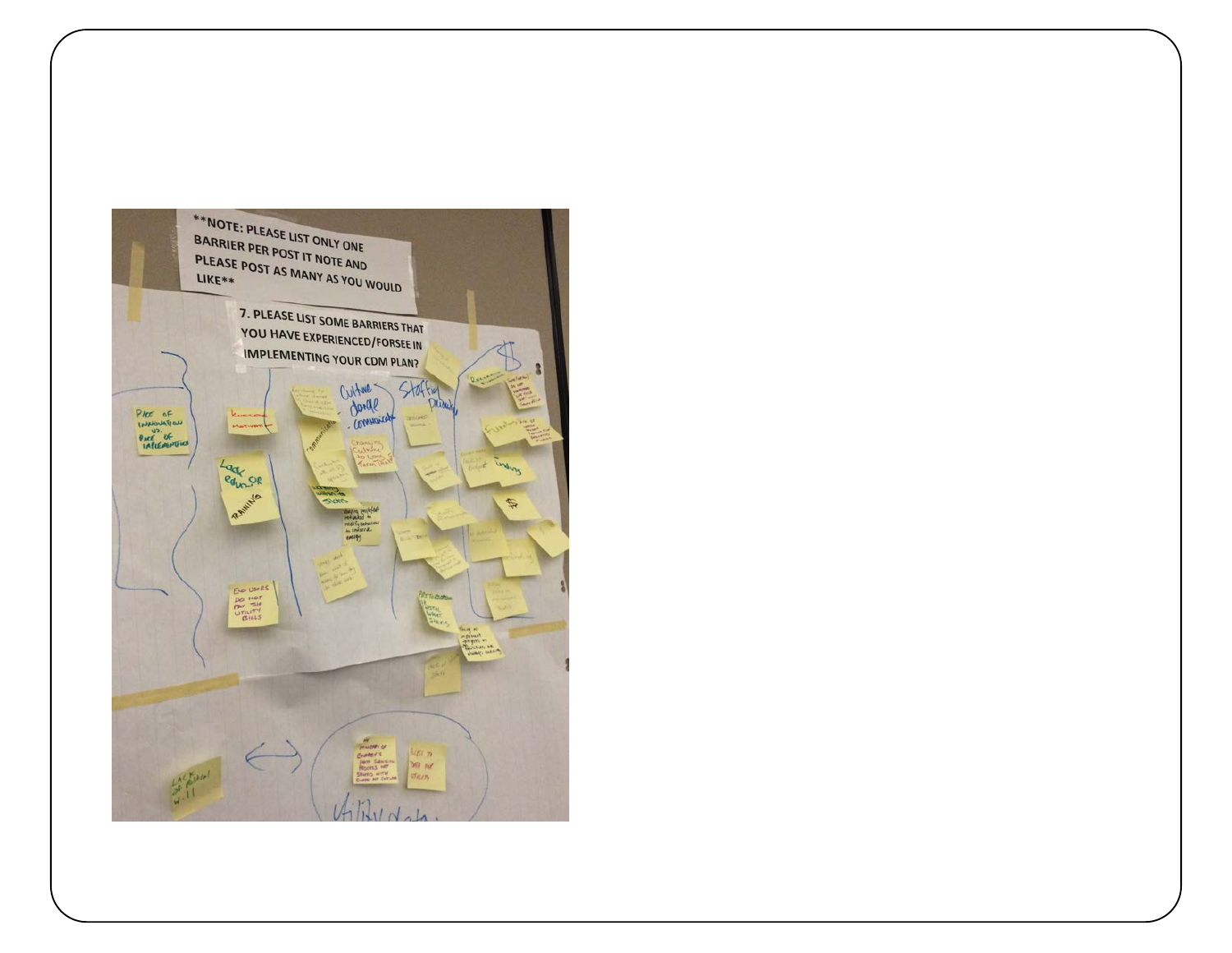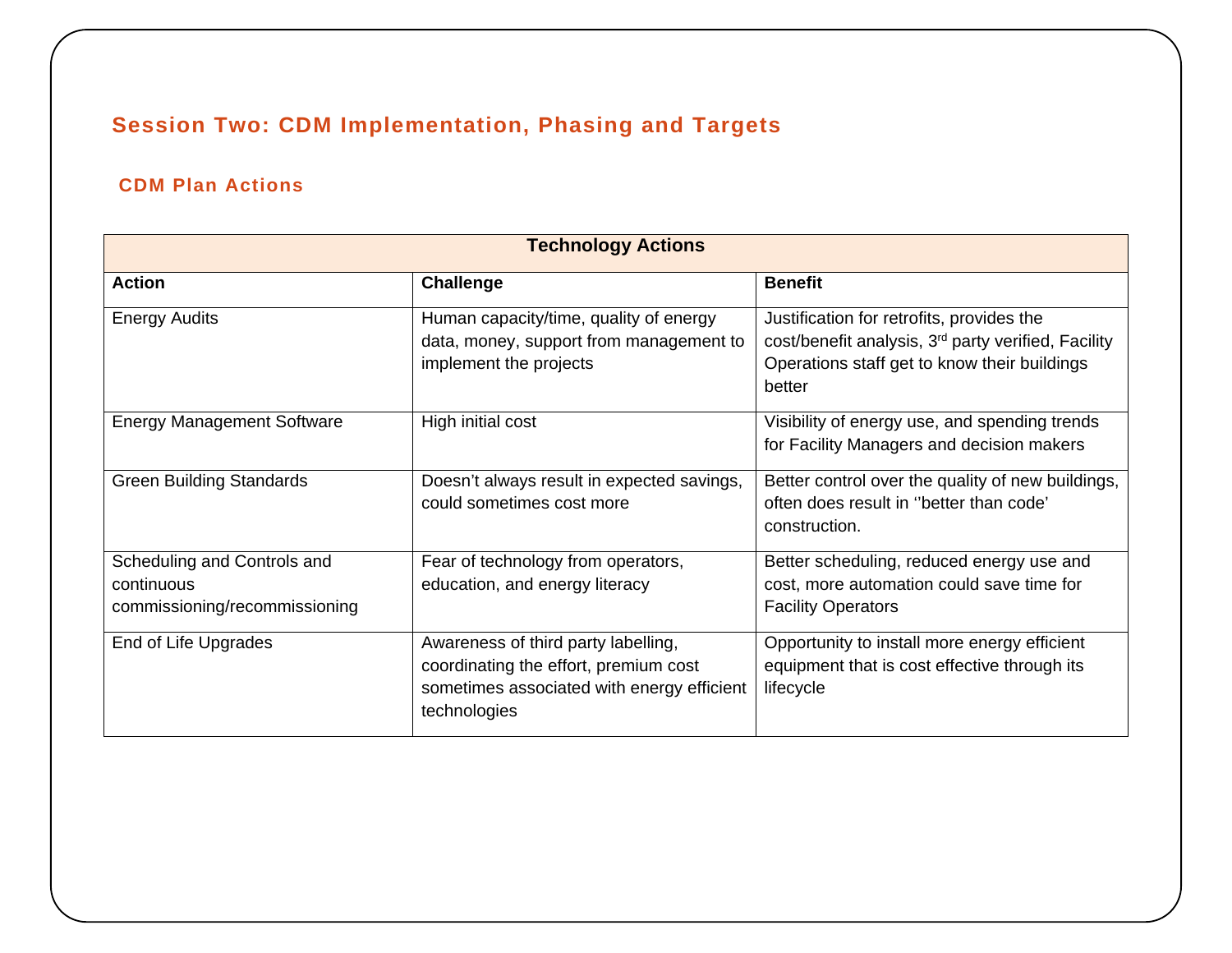## **Session Two: CDM Implementation, Phasing and Targets**

#### **CDM Plan Actions**

| <b>Technology Actions</b>                                                  |                                                                                                                                            |                                                                                                                                                                        |  |  |  |
|----------------------------------------------------------------------------|--------------------------------------------------------------------------------------------------------------------------------------------|------------------------------------------------------------------------------------------------------------------------------------------------------------------------|--|--|--|
| <b>Action</b>                                                              | <b>Challenge</b>                                                                                                                           | <b>Benefit</b>                                                                                                                                                         |  |  |  |
| <b>Energy Audits</b>                                                       | Human capacity/time, quality of energy<br>data, money, support from management to<br>implement the projects                                | Justification for retrofits, provides the<br>cost/benefit analysis, 3 <sup>rd</sup> party verified, Facility<br>Operations staff get to know their buildings<br>better |  |  |  |
| <b>Energy Management Software</b>                                          | High initial cost                                                                                                                          | Visibility of energy use, and spending trends<br>for Facility Managers and decision makers                                                                             |  |  |  |
| <b>Green Building Standards</b>                                            | Doesn't always result in expected savings,<br>could sometimes cost more                                                                    | Better control over the quality of new buildings,<br>often does result in "better than code"<br>construction.                                                          |  |  |  |
| Scheduling and Controls and<br>continuous<br>commissioning/recommissioning | Fear of technology from operators,<br>education, and energy literacy                                                                       | Better scheduling, reduced energy use and<br>cost, more automation could save time for<br><b>Facility Operators</b>                                                    |  |  |  |
| End of Life Upgrades                                                       | Awareness of third party labelling,<br>coordinating the effort, premium cost<br>sometimes associated with energy efficient<br>technologies | Opportunity to install more energy efficient<br>equipment that is cost effective through its<br>lifecycle                                                              |  |  |  |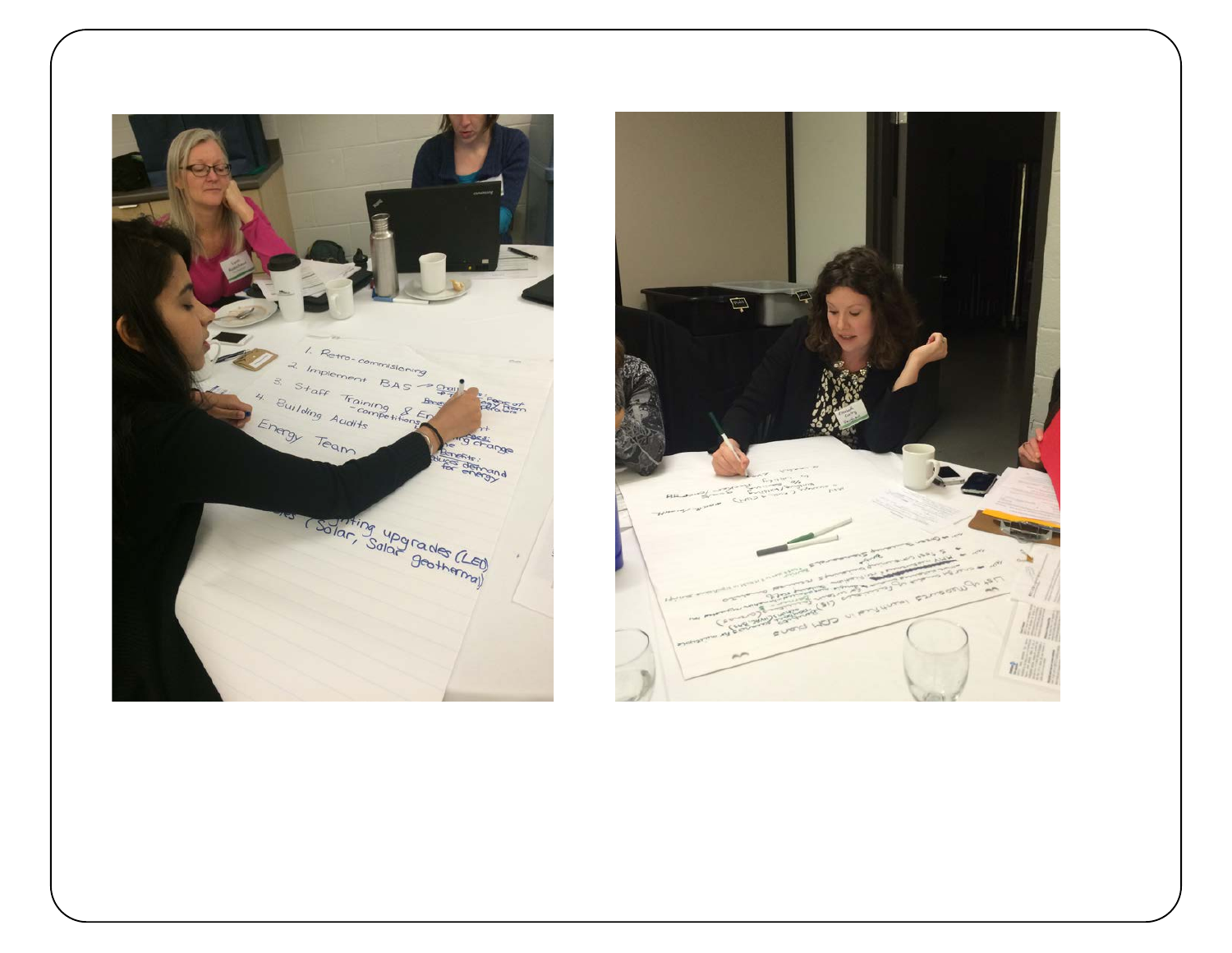

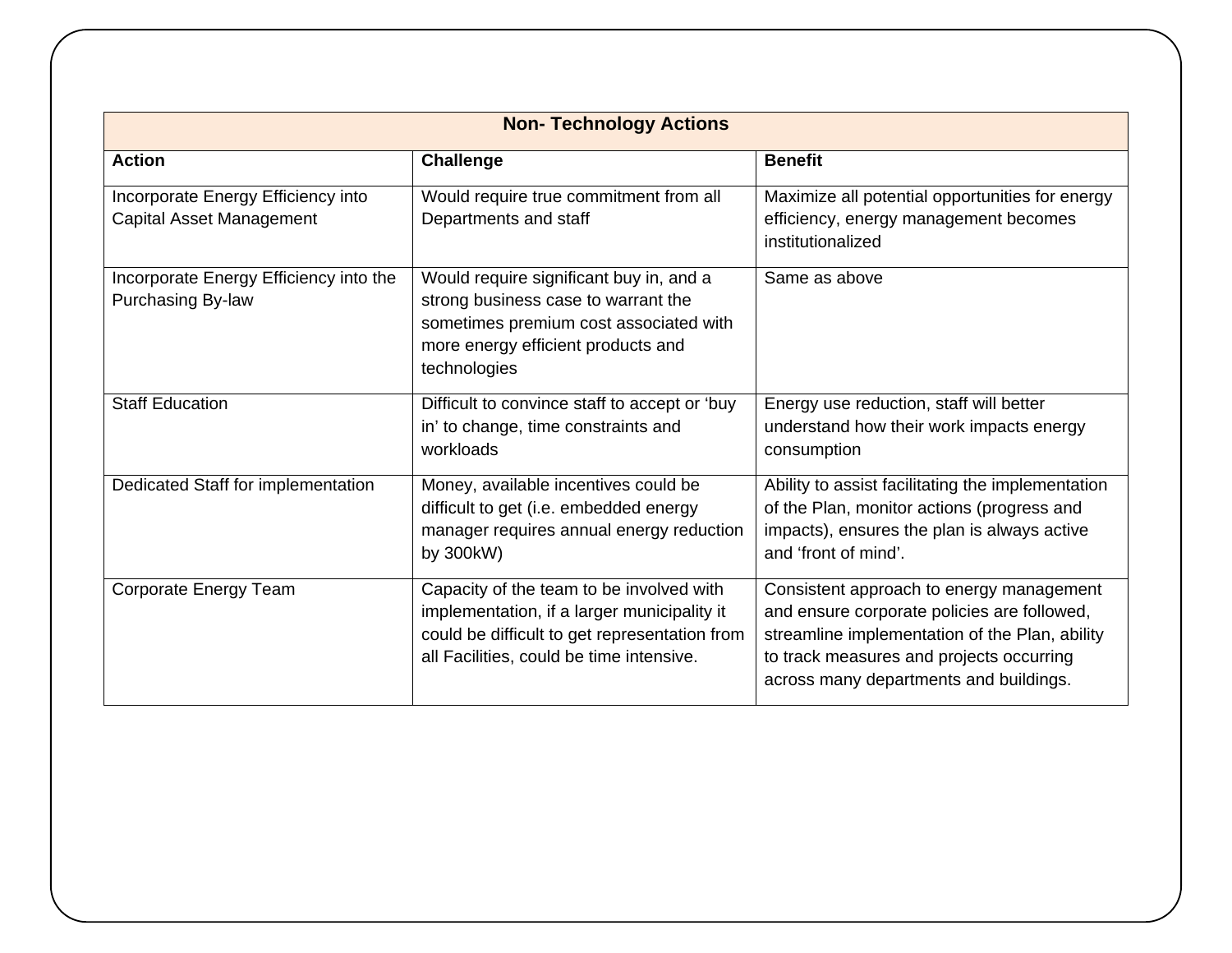| <b>Non-Technology Actions</b>                                         |                                                                                                                                                                                      |                                                                                                                                                                                                                                 |  |  |  |
|-----------------------------------------------------------------------|--------------------------------------------------------------------------------------------------------------------------------------------------------------------------------------|---------------------------------------------------------------------------------------------------------------------------------------------------------------------------------------------------------------------------------|--|--|--|
| <b>Action</b>                                                         | <b>Challenge</b>                                                                                                                                                                     | <b>Benefit</b>                                                                                                                                                                                                                  |  |  |  |
| Incorporate Energy Efficiency into<br><b>Capital Asset Management</b> | Would require true commitment from all<br>Departments and staff                                                                                                                      | Maximize all potential opportunities for energy<br>efficiency, energy management becomes<br>institutionalized                                                                                                                   |  |  |  |
| Incorporate Energy Efficiency into the<br>Purchasing By-law           | Would require significant buy in, and a<br>strong business case to warrant the<br>sometimes premium cost associated with<br>more energy efficient products and<br>technologies       | Same as above                                                                                                                                                                                                                   |  |  |  |
| <b>Staff Education</b>                                                | Difficult to convince staff to accept or 'buy<br>in' to change, time constraints and<br>workloads                                                                                    | Energy use reduction, staff will better<br>understand how their work impacts energy<br>consumption                                                                                                                              |  |  |  |
| Dedicated Staff for implementation                                    | Money, available incentives could be<br>difficult to get (i.e. embedded energy<br>manager requires annual energy reduction<br>by 300kW)                                              | Ability to assist facilitating the implementation<br>of the Plan, monitor actions (progress and<br>impacts), ensures the plan is always active<br>and 'front of mind'.                                                          |  |  |  |
| Corporate Energy Team                                                 | Capacity of the team to be involved with<br>implementation, if a larger municipality it<br>could be difficult to get representation from<br>all Facilities, could be time intensive. | Consistent approach to energy management<br>and ensure corporate policies are followed,<br>streamline implementation of the Plan, ability<br>to track measures and projects occurring<br>across many departments and buildings. |  |  |  |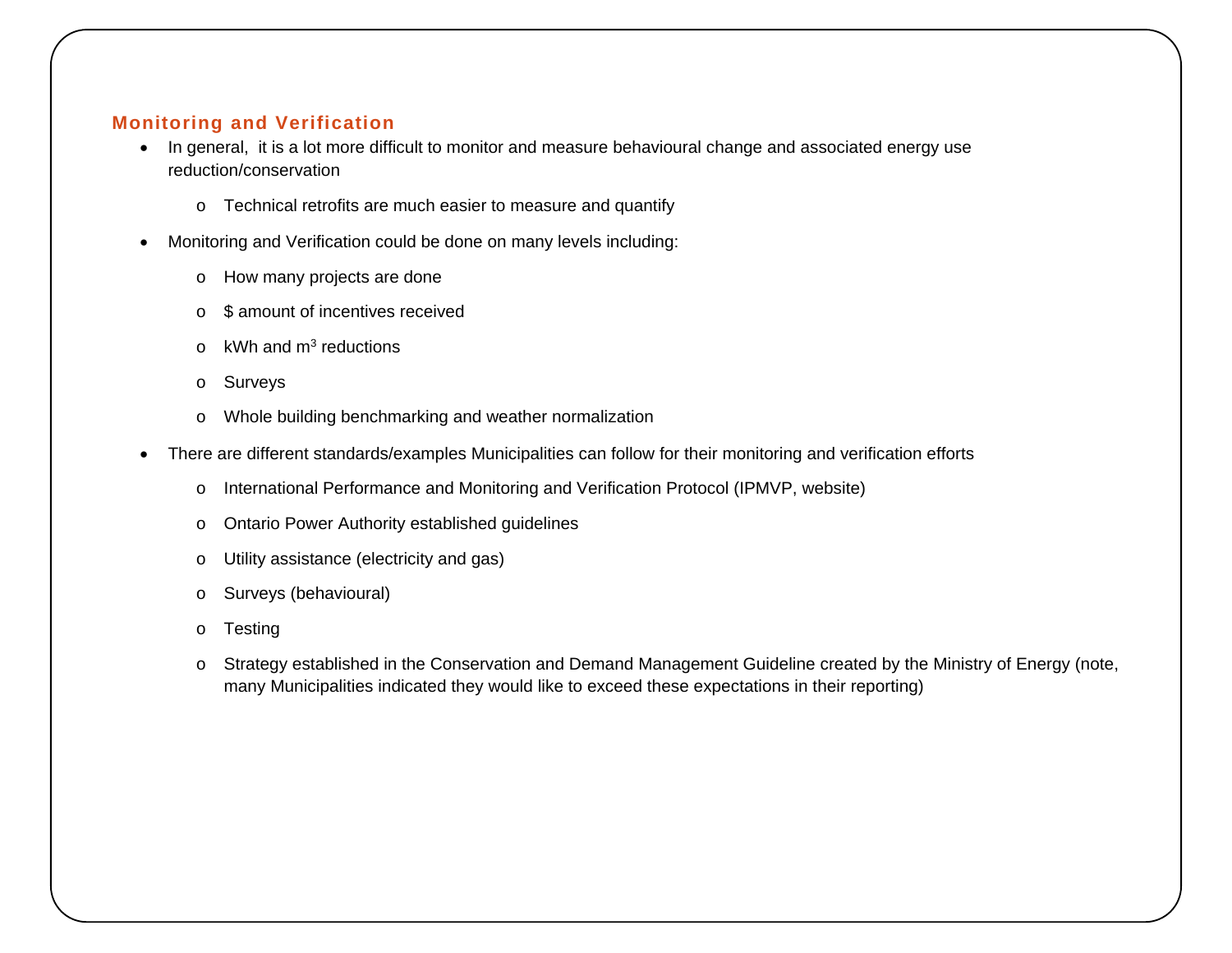#### **Monitoring and Verification**

- In general, it is a lot more difficult to monitor and measure behavioural change and associated energy use reduction/conservation
	- o Technical retrofits are much easier to measure and quantify
- Monitoring and Verification could be done on many levels including:
	- o How many projects are done
	- o \$ amount of incentives received
	- $\circ$  kWh and m<sup>3</sup> reductions
	- o Surveys
	- o Whole building benchmarking and weather normalization
- There are different standards/examples Municipalities can follow for their monitoring and verification efforts
	- o International Performance and Monitoring and Verification Protocol (IPMVP, website)
	- o Ontario Power Authority established guidelines
	- o Utility assistance (electricity and gas)
	- o Surveys (behavioural)
	- o Testing
	- o Strategy established in the Conservation and Demand Management Guideline created by the Ministry of Energy (note, many Municipalities indicated they would like to exceed these expectations in their reporting)